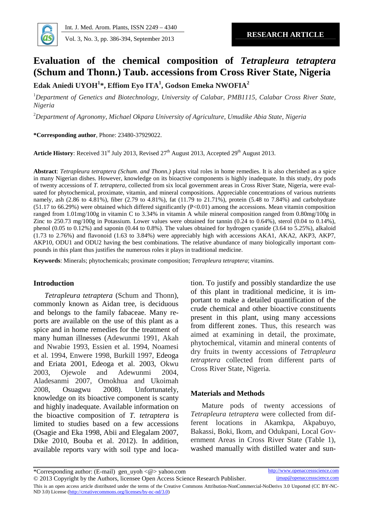Int. J. Med.Arom. Plants, ISSN 224€4340

RESEARCH ARTICLE Vol. 3, No.3, pp.386-394, September 2013

# Evaluation of the chemical composition of Tetrapleura tetraptera (Schum andThonn.) Taub. accessions fromCrossRiver State, Nigeria

Edak Aniedi UYOH<sup>1\*</sup>, Effiom Eyo ITA<sup>1</sup>, Godson EmekaNWOFIA<sup>2</sup>

<sup>1</sup>Department of Genetics and Biotechnology, University of CalaBMB1115, CalabaCross River State, Nigeria

<sup>2</sup>Department of Agronomy, Michael Okpara University of Agriculture, Umu**titika** State, Nigeria

\*Corresponding author, Phone: 2348037929022.

Article History: Receive $d31^{st}$  July 2013, Revised  $d7^{th}$  August 2013, Accepted 29<sup>th</sup> August 2013.

Abstract: Tetrapleura tetraptera (Schum, and Thonorlays vital roles in home remedies. It is also cherished as a spice in many Nigerian dishes. However, knowledge on its bioactive components is highly inadequate. In this study study of twenty accessions dt. tetraptera,collected from six local government areas in Cross River State, Nigeria, were eva uated for phytochemical, proximate, vitamin, and mineral compositions. Appreciable concentrations of various nutrients namey, ash (2.86 to 4.81%), fiber (2.79 to 4.81%), fat (11.79 to 21.71%), protein (5.48 to 7.84%) and carbohydrate (51.17 to 66.29%) were obtained which differed significantly (P<0.01) among the accessions. Mean vitamin composition ranged from 1.01mg/100g intamin C to 3.34% in vitamin A while mineral composition ranged from 0.80mg/100g in Zinc to 250.73 mg/100g in Potassium. Lower values were obtained for tannin (0.24 to 0.64%), sterol (0.04 to 0.14%), phenol (0.05 to 0.12%) and saponin (0.44 to 0.8%). The vertiand for hydrogen cyanide (3.64 to 5.25%), alkaloid (1.73 to 2.76%) and flavonoid (1.63 to 3.84%) were appreciably high with accessions AKA1, AKA2, AKP3, AKP7, AKP10, ODU1 and ODU2 having the best combinations. The relative abundance of mangically important conpounds in this plant thus justifies the numerous roles it plays in traditional medicine .

Keywords: Minerals; phytochemicalsproximate compositionTetrapleura tetrapteravitamins.

# Introduction

Tetrapleura tetraptera(Schum and Thon), commonly known asAidan tree, is deciduous and belongs to the family fabaceae. Maney r ports are available on the use of this plant as  $\frac{1}{2}$ pons are available on the ass of the plant as from different zones. Thus, this research was<br>spice and in home remedies for the treatment of imaginating in a datail, the provinction many human illnessesA (dewunmi 1991, Akah and Nwabie1993 Essien eal. 1994, Noamesi et al. 1994, Enwere 199 Burkill 1997, Edeoga and Eriata 2001 Edeoga et al. 2003, Okwu 2003, Ojewole and Adewunmi 2004, Aladesanmi 2007, Omokhua and Ukoimah 2008, Osuagwu 2008). Unfortunately, knowledge on its bioactive component casty and highly inadequate. Available information on the bioactive composition of tetraptera is limited to studiesbased on a few accessions (Osagie and Eka 1998, Abii and Elegalam 2007 Bakassi, Boki, Ikom, and Odukpani, Local Go Dike 2010, Bouba et al. 2012). In addition, available reports var with soil type and loa-

tion. To justify and possibly standardize the use of this plant in traditional medicine, it isniportant to make a detailed quilication of the crude chemical and other bioactive constituents present in this plant, using many assions aimed at examining in detail, the proximate, phytochemical, vitamin and mineral contents of dry fruits in twenty accessions difetrapleura tetraptera collected from different parts of Cross River StateNigeria.

# Materials and Methods

Mature pods of twenty accessions of Tetrapleuratetrapterawere collected from  $\ddot{\omega}$ ferent locations in Akamkpa, Akpabuyo, ernment Areas in Cross River State (Table 1), washed manula with distilled water and  $s$ u-

\*Corresponding author: (Enail) gen\_uyoh<@>yahoo.com http://www.openaccessscience.com<br>© 2013 Copyright by the Authors, licensee Open Access Science Researcht Penbli imap@openaccessscience.com © 2013 Copyright by the Authors, licensee Open Access Science Research Peubli This is an open access article distributed under the terms of reative Commonsttribution-NonCommerciaNoDerivs 3.0 Unported (CC B-NCND 3.0)License([http://creativecommons.org/licenses/by](http://creativecommons.org/licenses/by-nc-nd/3.0)nd/3.0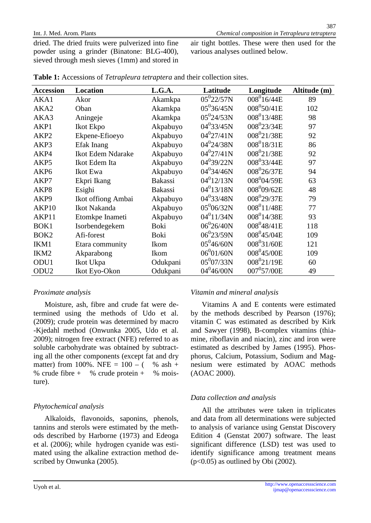dried. The dried fruits were pulverized into fine air tight bottles. These were then used for the powder using a grinder (Binatone: BL400), sieved through mesh sieves (1mm) and stored in various analyses outlined below.

| Accession        | Location                 | L.G.A.         | Latitude               | Longitude               | Altitude (m) |
|------------------|--------------------------|----------------|------------------------|-------------------------|--------------|
| AKA1             | Akor                     | Akamkpa        | $05^{0}$ 22/57N        | $008^{0}16/44E$         | 89           |
| AKA2             | Oban                     | Akamkpa        | 05°36/45N              | 008 50/41E              | 102          |
| AKA3             | Aningeje                 | Akamkpa        | $05^{0}$ 24/53N        | 008 13/48E              | 98           |
| AKP1             | Ikot Ekpo                | Akpabuyo       | 04 <sup>0</sup> 33/45N | 008 23/34E              | 97           |
| AKP <sub>2</sub> | EkpeneEfioeyo            | Akpabuyo       | 04 <sup>0</sup> 27/41N | 008 21/38 E             | 92           |
| AKP3             | Efak Inang               | Akpabuyo       | 04 <sup>0</sup> 24/38N | 008 18/31 E             | 86           |
| AKP4             | <b>Ikot Edem Ndarake</b> | Akpabuyo       | 04 <sup>0</sup> 27/41N | 008 21/38 E             | 92           |
| AKP <sub>5</sub> | Ikot Edem Ita            | Akpabuyo       | 04 <sup>0</sup> 39/22N | 008 33/44E              | 97           |
| AKP <sub>6</sub> | <b>Ikot Ewa</b>          | Akpabuyo       | 04 <sup>0</sup> 34/46N | 00826/37E               | 94           |
| AKP7             | Ekpri Ikang              | <b>Bakassi</b> | $04^0$ 12/13N          | 00804/59E               | 63           |
| AKP8             | Esighi                   | <b>Bakassi</b> | $04^0$ 13/18N          | 00809/62E               | 48           |
| AKP <sub>9</sub> | Ikot offiong Ambai       | Akpabuyo       | 04 <sup>0</sup> 33/48N | 008 <sup>0</sup> 29/37E | 79           |
| AKP10            | <b>Ikot Nakanda</b>      | Akpabuyo       | 0506/32N               | 008 11/48 E             | 77           |
| AKP11            | Etomkpe Inameti          | Akpabuyo       | 04 <sup>0</sup> 11/34N | 008 14/38E              | 93           |
| BOK <sub>1</sub> | Isorbendegekem           | Boki           | 06 <sup>0</sup> 26/40N | 008 <sup>9</sup> 48/41E | 118          |
| BOK <sub>2</sub> | Afi-forest               | <b>Boki</b>    | 06 <sup>0</sup> 23/59N | 008945/04E              | 109          |
| IKM1             | Etara communty           | <b>Ikom</b>    | 05 <sup>0</sup> 46/60N | 008 31/60E              | 121          |
| IKM <sub>2</sub> | Akparabong               | Ikom           | 06 <sup>0</sup> 01/60N | 008945/00E              | 109          |
| ODU1             | Ikot Ukpa                | Odukpani       | 05°07/33N              | 008 <sup>0</sup> 21/19E | 60           |
| ODU <sub>2</sub> | Ikot Eyo-Okon            | Odukpani       | 04 <sup>0</sup> 46/00N | 007957/00E              | 49           |

Table 1: Accessions of Tetrapleura tetrapter and their collection sites.

# Proximate analysis

Vitamin and mineral analysis

Moisture, ash, fibre and crude fat were-d termined using the methods of Udo et al. by the methods described by Pearson (1976); (2009); crude pretin was determined by macro vitamin C was estimated as described by Kirk -Kjedahl method (Onwunka2005, Udo et al. and Sawyer (1998), Bomplex vitamins (tha-2009); nitrogen free extract (NFE) referred to as mine, riboflavin and niacin), zinc and iron were soluble carbohydrate was obtained by subtracestimated as described by James (1995)sPho ing all the other compnents (except fat and dry phorus, Calcium, Potassium, Sodium andgMa matter) from 100%. NFE =  $10\theta$  ( % ash + nesium were estimated by AOAC methods % crude fibre  $+$  % crude protein  $+$  % snoi (AOAC 2000). ture). Vitamins A and E contents were estimated

# Phytochemical analysis

# Data collection and analysis

Alkaloids, flavonoids, saponins, phenols, and data from all determinations were subjected tannins and sterols were estimated by the met to analysis of variance using GentsDiscovery ods described by Harborne (1973) and Edeoga Edition 4 (Genstat2007) software. The least et al. (2006); while hydrogen cyanide westmated using the alkaline extraction methoed d identify significance among treatment mea scribed by Onwunka (2005). All the attributs were taken in triplicates significant difference (LSD) test was used to (p<0.05) as outlined by Obi (2002).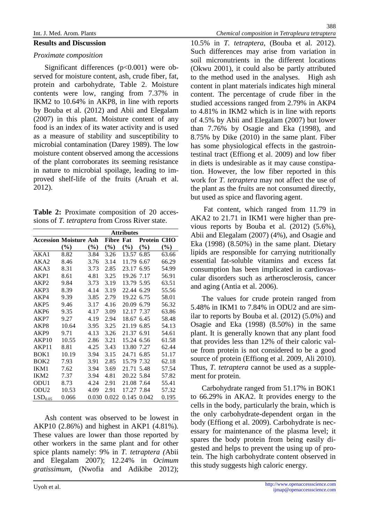### Int. J. Med.Arom. Plants **Chemical**composition in Tetrapleura tetrapte

#### Results and Discussion

## Proximate composition

Significant differences (p<0.001) were-o served for moisture content, ash, crude fiber, fat<sub>to the method used in the analyses. High a</sub> protein and carbohydrate, Table 2. Moisturecontent in plant materials indicates high mineral contents were low, ranging from  $37\%$  in IKM2 to 10.64% in AKP8, in line with reports by Bouba et al. (2012) and Abii and Elegalam to 4.81% in IKM2 which is in line with reports (2007) in this plant. Moisture content of any of 4.5% by Abii and Elegalam (2007) but lower food is an index of its water activity and is used<sub>than</sub> 7.76% by Osaei and Eka (1998), and as a measure of stability and susceptibility to 8.75% by Dike (2010) in the same plant. Fiber microbial contamination (Darey1989). The low moisture content observed among the accessions stinal tract (Effiong et al. 2009) and low fiber of the plant corroborates its seeming resistance diets is undesirable as it may cause constip in nature to microbial spoilage, leading  $\text{to}$ -i proved shellife of the fruits (Aruah et al. 2012). (Okwu 2001), it could also be partly attributed content. The percentage of crude fiber in the studied accessions ranged from 2.79% in AKP4 has some physiological effects in the gastroi tion. However, the low fiber reported in ish work for T. tetrapteramay not affect the use of the plant as the fruits are not consumed directly,

# Table 2: Proximate composion of 20 accesions ofT. tetrapterafrom Cross River state.

|                       | <b>Attributes</b> |       |        |            |               |       |
|-----------------------|-------------------|-------|--------|------------|---------------|-------|
| AccessionMoisture Ash |                   |       | Fibre  | Fat        | Protein       | CHO   |
|                       | (%)               | (%)   | $(\%)$ | '%)        | $\frac{9}{6}$ | (%)   |
| AKA1                  | 8.82              | 3.84  | 3.26   | 13.57 6.85 |               | 63.66 |
| AKA2                  | 8.46              | 3.76  | 3.14   | 11.79 6.67 |               | 66.29 |
| AKA3                  | 8.31              | 3.73  | 2.85   | 23.176.95  |               | 54.99 |
| AKP1                  | 8.61              | 4.81  | 3.25   | 19.267.17  |               | 56.91 |
| AKP <sub>2</sub>      | 9.84              | 3.73  | 3.19   | 13.795.95  |               | 63.51 |
| AKP3                  | 8.39              | 4.14  | 3.19   | 22.446.29  |               | 55.56 |
| AKP4                  | 9.39              | 3.85  | 2.79   | 19.226.75  |               | 58.01 |
| AKP5                  | 9.46              | 3.17  | 4.16   | 20.096.79  |               | 56.32 |
| AKP6                  | 9.35              | 4.17  | 3.09   | 12.177.37  |               | 63.86 |
| AKP7                  | 9.27              | 4.19  | 2.94   | 18.67 6.45 |               | 58.48 |
| AKP8                  | 10.64             | 3.95  | 3.25   | 21.196.85  |               | 54.13 |
| AKP9                  | 9.71              | 4.13  | 3.26   | 21.376.91  |               | 54.61 |
| AKP10                 | 10.55             | 2.86  | 3.21   | 15.24 6.56 |               | 61.58 |
| AKP11                 | 8.81              | 4.25  | 3.43   | 13.807.27  |               | 62.44 |
| BOK1                  | 10.19             | 3.94  | 3.15   | 24.716.85  |               | 51.17 |
| BOK2                  | 7.93              | 3.91  | 2.85   | 15.797.32  |               | 62.18 |
| IKM1                  | 7.62              | 3.94  | 3.69   | 21.715.48  |               | 57.54 |
| IKM <sub>2</sub>      | 7.37              | 3.94  | 4.81   | 20.225.84  |               | 57.82 |
| ODU1                  | 8.73              | 4.24  | 2.91   | 21.087.64  |               | 55.41 |
| ODU2                  | 10.53             | 4.09  | 2.91   | 17.27 7.84 |               | 57.32 |
| LSD <sub>0.05</sub>   | 0.066             | 0.030 | 0.022  |            | 0.1450.042    | 0.195 |

Ash content was boserved to be lowest in AKP10 (2.86%) and highest in AKP1 (4.81%). These values are lower than those reported by essary for maintenance of the plase level; it These values are fower than those reported by spares the body protein from being easily d<br>other workers in the same plant and for other seated and being to provent the union up of pu spice plants namely: 9% in T. tetraptera Abii and Elegalam 2007); 12.24% in Ocimum gratissimum, (Nwofia and Adikibe 2012);

Fat content, which ranged from 11.79 in AKA2 to 21.71 in IKM1 were higher than  $e$ vious reports by Boubaet al. (2012) (5.6%), Abii and Elegalam (2007) (4%), and Osagie and Eka (1998) (8.50%) in the same plant. Dietary lipids are responsible for carrying nutritionally essential fat-oluble vitamins and excess fat consumption has been implicated in cardiova cular disorders such as artherosclerosis, cancer and aging (Antia et al. 2006).

but used as spice and flavoring agent.

10.5% in T. tetraptera, (Bouba et al.2012). Such differences may arise from rization in soil micronutrients n the different locations

The values for crude protein ranged from 5.48% in IKM1 to  $7.84\%$  in ODU2 and are majoration ilar to reports by Bouba et al. (2012) (5.0%) and Osagie and Eka (1998) (8.50%) in the same plant. It is generally known that any plant food that provides less than  $12\%$  of their calorid va ue from protein is not considered to **begood** source of protein Effiong et al. 2009 Ali 2010). Thus,  $T$ . tetrapteracannot be used as a suppl ment for protein.

Carbohydrate ranged from 51.17% in BOK1 to 66.29% in AKA2. It provides energy to the cells in the body, particularly the brain, which is the only carbohydrate dependent organ in the body (Effiong et al. 2009). Carbohydrate is negested and helps to prevent the using up of pr tein. The high carchydrate content observed in this study suggests high caloric energy.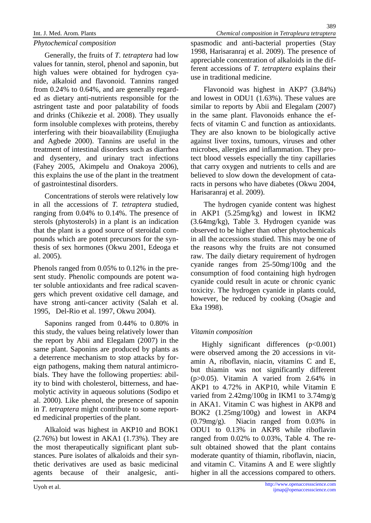Phytochemical composition

Generally, the fruits o $\mathbf T$ . tetrapterahad low values for tannin, sterol, phenol and saponin, but appreciable concentration of alkaloids in the diversion of high values were obtained for hydrogenacy night values were estanded for hydrogenalcy<br>nide, alkaloid and flavonoid. Tannins ranged<sup>use in traditional medicine.</sup>

from  $0.24\%$  to  $0.64\%$ , and are generally relear ed as dietary antiutrients responsible for the and lowest in ODU1 (1.63%). These values are astringent taste and poor palatability of foods similar to reports by Abii and Elegalam (2007) and drinks (Chikezie et al. 2008). They usuallyin the same plant. Flavonoids enhance the e form insoluble complexes with proteins, therebyfects of vitamin C anduinction as antioxidants. interfering with their bioavitability (Enujiugha and Agbede2000). Tannins are useful in the against liver toxins, tumours, viruses and other treatment of intestinal disders such as diarrhea microbes, allergies and inflammation. They pr and dysentery, and urinary trachfections (Fahey 2005, Akimpelu and Onakoy2006), this explains the use of the plant in the treatent of gastrointestinal disorders. Flavonoid was highest in AKP7 (3.84%) They are also known to be biologically active tect blood vessels expectedly the tiny capillaries that carry oxygen and nutrients to sealnd are believed to slow down the development of asat racts inpersons who have diabetes (Okwu 2004,

Concentrations of sterols were relatively low Harisaranraj et a2009). in all the accessions of T. tetrapterastudied, ranging from 0.04% to 0.14%. The presence ofn AKP1 (5.25mg/kg) and lowest in IKM2 sterols (phytosterols) in a plant is an indication (3.64mg/kg), Table 3. Hydrogen cyanide was that the plant is a good source of steroidanco pounds which are potent precursors for the sy in all the accessions studied. This may be one of thesis of sex hormones (Okwu 20 $0$ deoga et al. 2005).

Phenols ranged from  $0.05\%$  to  $0.12\%$  in the pr sent study. Phenolic compounds are poteat w ter soluble antioxidants and free radical scave tor senable annoxidantle and necessation toxicity. The hydrogen vanide in plants could,<br>gers which prevent oxidative cell damage, and surgives he rathed by eaching (Ossais an have strong antitancer activity (Salah et al. 1995, Del-Rio et al. 1997 Okwu 2004).

Saponins ranged from 0.44% to 0.80% in the report by Abii and Elegalam (2007) in the a deterrence mechanism to stop attaby foeign pathogens, making them natural antimicr bials. They have this blowing properties: albi ity to bind with cholesterol, bitterness, and ha molytic activity in aqueous solutions (Sodipo et al. 2000). Like phenol, the presence of saponing allow noth 2. Emg, loog in limit to our might in T. tetrapteramight contribute to some reptor ed medicinal properties of the plant. but thiamin was not significantly different (p>0.05). Vitamin A varied from 2.64% in AKP1 to 4.72% in AKP10, while Vitamin E varied from 2.42mg/100g in IKM1 to 3.74mg/g BOK2 (1.25mg/100g) and lowest in AKP4

Alkaloid was highest in AKP10 and BOK1 ODU1 to 0.13% in AKP8 while riboflavin  $(2.76%)$  but lowest in AKA1  $(1.73%)$ . They are ranged from 0.02% to 0.03%, Table 4. The r the most therapeutically significant plantbsu sult obtained showed that the plant contains stances. Pure isolates of alkaloids and their sy moderate quantity of thiaminiboflavin, niacin, thetic derivatives are used as basic medicinaland vitamin C. Vitamins A and E were slightly agents because of their analgesic, -antihigher in all the accessions compared to others. (0.79mg/g). Niacin ranged from 0.03% in

spasmodic and antiacterial properties Stay 1998, Harisaranraj et al. 2009). The presence of ferent accessions off. tetrapteraexplains their

observed to be higher than other phytochemicals the reasons why the fruits are not consumed raw. The day dietary requirement of hydrogen cyanide ranges from  $250$ mg/100g and the consumption of food contain inhigh hydrogen cyanide could result in acute or chronic cyanic however, be reacted by cooking (Osagie and Eka1998).

The hydrogen cyanide content was highest

this study, the values being relatively lower than Vitamin composition same plant. Saponins are produced by plants  $a_s$ . Were observed among the  $20$ cessions in  $t_i$ Highly significant differences (p<0.001) amin A, riboflavin, niacin, vitamins C and E,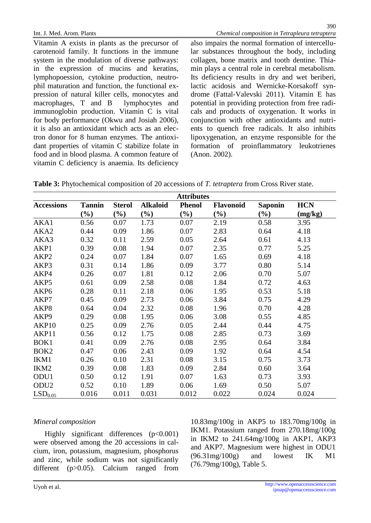390

Vitamin A exists in plants as the precursor ofalso impairs the normal formation of intercell carotenoid family. It functions in the immune lar substances throughout the body, including system in the modulation of diverse pathwayscollagen, bone matrix and tooth dentine. a Fhi in the expression of mucins and keratins,min plays a central role in cerebral metabolism. lymphopoession, cytokine production, neutr Its deficiency results in dry and wet bemibe phil maturation and function, the functional-e lactic acidosis and Wernick Corsakoff synpression of natural killer cells, monocytes anddrome (Fatal-Valevski 2011). Vitamin E has macrophages,  $T$  and  $B$  $immunoglobin$  production. Vitamin  $C$  is wait for body performance (Okwu and Josiab06), it is also an antioxidant which acts as ancele ents to quench free radisal It also inhibits tron donor for 8 human enzymes. The antiox lipoxygenation, an enzyme responsible for the dant properties of vitamin C stabilize folate in formation of proinflammatory leukotrienes food and in blood plasma. A common feature of (Anon. 2002). lymphocytes and potential in providing protection from free rad cals and products of oxygenation. It works in conjunction with other antioxidants and nutr

vitamin C deficiency isanaemia. Its deficiency

Table 3: Phytochemical composition of 20 accession **5** detrapterafrom Cross River state.

|                     |        |               |           | <b>Attributes</b> |           |         |            |
|---------------------|--------|---------------|-----------|-------------------|-----------|---------|------------|
| Accessions          | Tannin | <b>Sterol</b> | Alk aloid | Phenol            | Flavonoid | Saponin | <b>HCN</b> |
|                     | $(\%)$ | $(\%)$        | $(\%)$    | $(\%)$            | $(\%)$    | $(\%)$  | (mg/kg)    |
| AKA1                | 0.56   | 0.07          | 1.73      | 0.07              | 2.19      | 0.58    | 3.95       |
| AKA <sub>2</sub>    | 0.44   | 0.09          | 1.86      | 0.07              | 2.83      | 0.64    | 4.18       |
| AKA3                | 0.32   | 0.11          | 2.59      | 0.05              | 2.64      | 0.61    | 4.13       |
| AKP1                | 0.39   | 0.08          | 1.94      | 0.07              | 2.35      | 0.77    | 5.25       |
| AKP <sub>2</sub>    | 0.24   | 0.07          | 1.84      | 0.07              | 1.65      | 0.69    | 4.18       |
| AKP3                | 0.31   | 0.14          | 1.86      | 0.09              | 3.77      | 0.80    | 5.14       |
| AKP4                | 0.26   | 0.07          | 1.81      | 0.12              | 2.06      | 0.70    | 5.07       |
| AKP <sub>5</sub>    | 0.61   | 0.09          | 2.58      | 0.08              | 1.84      | 0.72    | 4.63       |
| AKP <sub>6</sub>    | 0.28   | 0.11          | 2.18      | 0.06              | 1.95      | 0.53    | 5.18       |
| AKP7                | 0.45   | 0.09          | 2.73      | 0.06              | 3.84      | 0.75    | 4.29       |
| AKP8                | 0.64   | 0.04          | 2.32      | 0.08              | 1.96      | 0.70    | 4.28       |
| AKP <sub>9</sub>    | 0.29   | 0.08          | 1.95      | 0.06              | 3.08      | 0.55    | 4.85       |
| AKP <sub>10</sub>   | 0.25   | 0.09          | 2.76      | 0.05              | 2.44      | 0.44    | 4.75       |
| AKP11               | 0.56   | 0.12          | 1.75      | 0.08              | 2.85      | 0.73    | 3.69       |
| BOK <sub>1</sub>    | 0.41   | 0.09          | 2.76      | 0.08              | 2.95      | 0.64    | 3.84       |
| BOK <sub>2</sub>    | 0.47   | 0.06          | 2.43      | 0.09              | 1.92      | 0.64    | 4.54       |
| IKM1                | 0.26   | 0.10          | 2.31      | 0.08              | 3.15      | 0.75    | 3.73       |
| IKM <sub>2</sub>    | 0.39   | 0.08          | 1.83      | 0.09              | 2.84      | 0.60    | 3.64       |
| ODU <sub>1</sub>    | 0.50   | 0.12          | 1.91      | 0.07              | 1.63      | 0.73    | 3.93       |
| ODU <sub>2</sub>    | 0.52   | 0.10          | 1.89      | 0.06              | 1.69      | 0.50    | 5.07       |
| LSD <sub>0.05</sub> | 0.016  | 0.011         | 0.031     | 0.012             | 0.022     | 0.024   | 0.024      |

# Mineral composition

Highly significant differences (p<0.001) were observed among the 20 accessions lin cannot all IKM2 to 241.64mg/100g in AKP1, AKP3 were esserved among the 20 accessions in example AKP7. Magnesium were highest in ODU1 cium, iron, potassium, magnesium, phosphorus of atmosfers and showed all the M4 and zinc, while sodium was not significantly different (p>0.05). Calcium ranged from 10.83mg/100g in AKP5 to183.70mg/100g in IKM1. Potassium ranged from 270.18mg/100g (96.31mg/100g) and lowest IK M1 (76.79mg/100g), Table 5.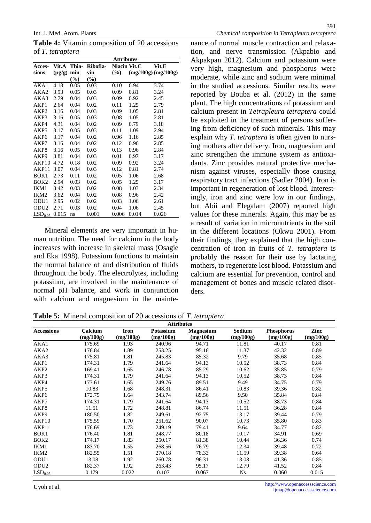Table 4: Vitamin composition of 20 accessions nance of normal muscle contraction and ralax of T. tetrapera

|                     |           | <b>Attributes</b> |          |              |       |                    |
|---------------------|-----------|-------------------|----------|--------------|-------|--------------------|
| Acces-              | Vit.A     | Thia-             | Ribofla- | Niacin Vit.C |       | Vit.E              |
| sions               | $($ µg/g) | min               | vin      | (%)          |       | (mg/100g)(mg/100g) |
|                     |           | $(\% )$           | (%)      |              |       |                    |
| AKA1                | 4.18      | 0.05              | 0.03     | 0.10         | 0.94  | 3.74               |
| AKA2                | 3.93      | 0.05              | 0.03     | 0.09         | 0.81  | 3.24               |
| AKA3                | 2.79      | 0.04              | 0.03     | 0.09         | 0.92  | 2.45               |
| AKP1                | 2.64      | 0.04              | 0.02     | 0.11         | 1.25  | 2.79               |
| AKP2                | 3.16      | 0.04              | 0.03     | 0.09         | 1.05  | 2.81               |
| AKP3                | 3.16      | 0.05              | 0.03     | 0.08         | 1.05  | 2.81               |
| AKP4                | 4.31      | 0.04              | 0.02     | 0.09         | 0.79  | 3.18               |
| AKP5                | 3.17      | 0.05              | 0.03     | 0.11         | 1.09  | 2.94               |
| AKP6                | 3.17      | 0.04              | 0.02     | 0.96         | 1.16  | 2.85               |
| AKP7                | 3.16      | 0.04              | 0.02     | 0.12         | 0.96  | 2.85               |
| AKP8                | 3.16      | 0.05              | 0.03     | 0.13         | 0.96  | 2.84               |
| AKP9                | 3.81      | 0.04              | 0.03     | 0.01         | 0.97  | 3.17               |
| AKP10               | 4.72      | 0.18              | 0.02     | 0.09         | 0.92  | 3.24               |
| AKP11               | 3.07      | 0.04              | 0.03     | 0.12         | 0.81  | 2.74               |
| BOK <sub>1</sub>    | 2.73      | 0.11              | 0.02     | 0.05         | 1.06  | 2.68               |
| BOK <sub>2</sub>    | 2.94      | 0.03              | 0.02     | 0.05         | 1.25  | 3.17               |
| IKM1                | 3.42      | 0.03              | 0.02     | 0.08         | 1.03  | 2.34               |
| IKM <sub>2</sub>    | 3.62      | 0.04              | 0.02     | 0.08         | 0.96  | 2.42               |
| ODU1                | 2.95      | 0.02              | 0.02     | 0.03         | 1.06  | 2.61               |
| ODU2                | 2.71      | 0.03              | 0.02     | 0.04         | 1.06  | 2.45               |
| LSD <sub>0.05</sub> | 0.015     | ns                | 0.001    | 0.006        | 0.014 | 0.026              |

tion, and nerve transmission (Akpabio and Akpakpan 2012). Calcium and potassium were very high, magnesium and phosphorus were moderate, whe zinc and sodium were minimal in the studied accessions. Similar results were reported by Bouba et al. (2012) in the same plant. The high concentrations of potassium and calcium present inTetrapleura tetrapteracould be exploited in the treatment of pers suffeing from deficiency of such minerals. This may explain why T. tetrapterais often given to nuring mothers after delivery. Iron, magnesium and zinc strengthen the immune system as antiox dants. Zinc provides natural protective mech nism against ivuses, especially those causing respiratory tract infections (Sadler 2004). Iron is important in regeneration of lost blood. Interes ingly, iron and zinc were low in our findings, but Abii and Elegalam (2007) reported high values for these minerals. Agaithis may be as a result of variation in micronutrients in the soil

Mineral elements are very important in-h man nutrition. The need for calcium in the dy increases with increase in skeletal mass (Osagicentration of iron in fruits ofT. tetrapterais and Eka 1998). Potassium functions to maintaim robably the reason for their use by lactatin the normal balance of and distribution of fluids mothers, to regenerate lost blood. Potassand throughout the body. The electrolytes, including calcium are essential for prevention, control and potassum, are involved in the maintenance of management of bones and muscle related diso normal pH bance, and work in conjunction ders. with calcium and magnesium in the maint in the different locations (Okwu 2001). From their findings, they explained that the higheo

| Table 5: Mineral composition of 20 accessions Toftetraptera |  |
|-------------------------------------------------------------|--|
|-------------------------------------------------------------|--|

| <b>Attributes</b>   |           |           |           |           |           |            |           |
|---------------------|-----------|-----------|-----------|-----------|-----------|------------|-----------|
| Accessions          | Calcium   | Iron      | Potassium | Magnesium | Sodium    | Phosphorus | Zinc      |
|                     | (mg/100g) | (mg/100g) | (mg/100g) | (mg/100g) | (mg/100g) | (mg/100g)  | (mg/100g) |
| AKA1                | 175.69    | 1.93      | 240.96    | 94.71     | 11.81     | 40.17      | 0.81      |
| AKA2                | 176.84    | 1.89      | 253.25    | 95.16     | 11.37     | 42.32      | 0.89      |
| AKA3                | 175.81    | 1.81      | 245.83    | 85.32     | 9.79      | 35.68      | 0.85      |
| AKP1                | 174.31    | 1.79      | 241.64    | 94.13     | 10.52     | 38.73      | 0.84      |
| AKP <sub>2</sub>    | 169.41    | 1.65      | 246.78    | 85.29     | 10.62     | 35.85      | 0.79      |
| AKP3                | 174.31    | 1.79      | 241.64    | 94.13     | 10.52     | 38.73      | 0.84      |
| AKP4                | 173.61    | 1.65      | 249.76    | 89.51     | 9.49      | 34.75      | 0.79      |
| AKP <sub>5</sub>    | 10.83     | 1.68      | 248.31    | 86.41     | 10.83     | 39.36      | 0.82      |
| AKP6                | 172.75    | 1.64      | 243.74    | 89.56     | 9.50      | 35.84      | 0.84      |
| AKP7                | 174.31    | 1.79      | 241.64    | 94.13     | 10.52     | 38.73      | 0.84      |
| AKP8                | 11.51     | 1.72      | 248.81    | 86.74     | 11.51     | 36.28      | 0.84      |
| AKP <sub>9</sub>    | 180.50    | 1.82      | 249.61    | 92.75     | 13.17     | 39.44      | 0.79      |
| AKP10               | 175.59    | 1.70      | 251.62    | 90.07     | 10.73     | 35.80      | 0.83      |
| AKP11               | 176.69    | 1.73      | 249.19    | 79.41     | 9.64      | 34.77      | 0.82      |
| BOK <sub>1</sub>    | 176.40    | 1.81      | 248.77    | 80.18     | 10.17     | 34.91      | 0.69      |
| BOK <sub>2</sub>    | 174.17    | 1.83      | 250.17    | 81.38     | 10.44     | 36.36      | 0.74      |
| IKM1                | 183.70    | 1.55      | 268.56    | 76.79     | 12.34     | 39.48      | 0.72      |
| IKM <sub>2</sub>    | 182.55    | 1.51      | 270.18    | 78.33     | 11.59     | 39.38      | 0.64      |
| ODU1                | 13.08     | 1.92      | 260.78    | 96.31     | 13.08     | 41.36      | 0.85      |
| ODU <sub>2</sub>    | 182.37    | 1.92      | 263.43    | 95.17     | 12.79     | 41.52      | 0.84      |
| LSD <sub>0.05</sub> | 0.179     | 0.022     | 0.107     | 0.067     | <b>Ns</b> | 0.060      | 0.015     |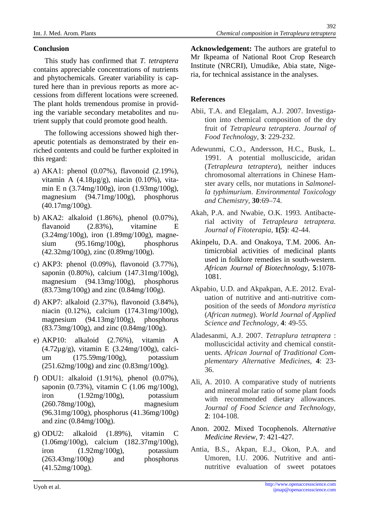(40.17mg/100g).

Acknowledgement: The authors are grateful to

Conclusion

This study has confirmed that tetraptera contains appreciable concentrations of nutrients Institute (NRCRI), Umudike, Abia state, Nigeand phytochemicals. Greater variability is  $e$ a tured here than in previous reports as enercessions from different locations were screened References The plant holds tremendous promise in pdovi ing the variable secondary metabolites and n Abii, T.A. and Elegalam, A.J. 2007. Investig trient supply that could promote good health. The following accessions showed highrthe apeutic potentials as deenstrated by theirne riched contents and could be further exploited in Adewunmi, C.O., Andersson, H.C., Busk, L. this regard: a) AKA1: phenol (0.07%), flavonoid(2.19%), vitamin A (4.18µg/g), niacin (0.10%), vitamin E n(3.74mg/100g), iron(1.93mg/100g), magnesium (94.71mg/100g), phosphorus Mr Ikpeama of National Root Crop Research ria, for technical assistance in the analyses. tion into chemical composition the dry fruit of Tetrapleura tetrapteraJournal of Food Technology3: 229-232. 1991. A potential molluscicide, aridan (Tetrapleura tetrapter) neither induces chromosomal alterrations in Chinesenha ster avay cells, nor mutations in Salmone la typhimurium. Environmental Toxicology

b) AKA2: alkaloid (1.86%), phenol(0.07%), flavanoid (2.83%), vitamine E (3.24mg/100g), iron(1.89mg/100g), magne $sium$  (95.16mg/100g),  $(42.32mg/100g)$ , zin $f$  $0.89mg/100g)$ .

c) AKP3: phenol(0.09%), flavonoid(3.77%), saponin(0.80%), calcium(147.31mg/100g), magnesium (94.13mg/100g), phosphorus (83.73mg/100g) and zin (0.84mg/100g).

d) AKP7: alkaloid (2.37%), flavonoid(3.84%), niacin (0.12%), calcium (174.31mg/100g), magnesium (94.13mg/100g), phosphorus  $(83.73mg/100g)$ , and zin $(0.84mg/100g)$ .

e) AKP10: alkaloid (2.76%), vitamin A (4.72µg/g), vitamin E (3.24mg/100g), calcium (175.59mg/100g), potassium  $(251.62mg/100g)$  and  $\frac{\pi}{6}$ .83mg/100g).

f) ODU1: alkaloid (1.91%), phenol(0.07%), saponin(0.73%), vitamin C(1.06 mg/100g), iron  $(1.92mg/100g)$ , potassium (260.78mg/100g), magnesium (96.31mg/100g), phosphorus (41.36mg/100g) and zinc (0.84mg/100g).

g) ODU2: alkaloid (1.89%), vitamin C (1.06mg/100g), calcium (182.37mg/100g), iron  $(1.92 \text{mg}/100 \text{g})$ , (263.43mg/100g) and phosphorus (41.52mg/100g).

and Chemistry30:69€74. Akah, P.A. and Nwabie, O.K. 1993. Antibact rial activity of Tetrapleura tetraptera. Journal of Fitoterapia,1(5): 42-44.

phosphorus Akinpelu, D.A. and Onakoya, T.M. 26. Antimicrobial activities of medicinal plants used in folklore remedies in soutwestern. African Journal of Biotechnolog 5:1078-1081.

> Akpabio, U.D. and Akpakpan, A.E. 2012. Eva uation of nutritive and antiutritive composition of the seeds **Mondora** myristica (African nutmeg). World Journal of Applied Science and Technody, 4: 49-55.

Aladesanmi, A.J. 2007Tetraplura tetraptera: molluscicidal activity and chemical consti uents.African Journal ofTraditional Complementary Alternative Medicines 4: 23-36.

Ali, A. 2010. A comparative study of nutrients and mineral molar ratio of some plant foods with recommended dietary allowances. Journal of Food Science and Technology, 2: 104-108.

Anon. 2002. Mixed TocophenolsAlternative Medicine Review7: 421-427.

potassium Antia, B.S., Akpan, E.J., Okon, P.A. and Umoren, I.U. 2006. Nutritive and anti nutritive evaluation of sweet potatoes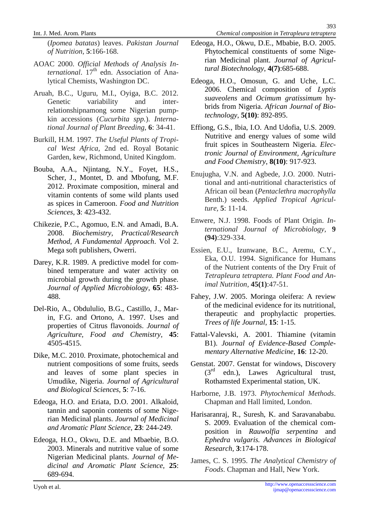(Ipomea batatas) leaves.Pakistan Journal of Nutrition, 5:166-168.

- AOAC 2000. Official Methods of Analysisnl ternational  $17<sup>th</sup>$  edn. Association of Amalytical Chemists, Washington DC.
- Aruah, B.C., Uguru, M.I., Oyiga, B.C. 2012. Genetic variability and interrelationshipnamong some Nigerian pum kin accessions Qucurbita spp. International Journal of Plant Breedin®: 34-41.
- Burkill, H.M. 1997. The Useful Plants of Trop cal West Africa,2nd ed. Royal Botanic Garden, kew, Richmond, United Kingdom.
- Bouba, A.A., Njintang, N.Y., Foyet, H.S., 2012. Proximate composition, mineral and vitamin contents ofsome wild plants used as spices in Cameroonood and Nutrition. Sciences3: 423-432.
- 2008. Biochemistry, Practical/Research Method, A Fundamental Approach ol 2. Mega soft publishers, Owerri.
- Darey, K.R. 1989A predictive model for combined temperature and water activity on microbial growth during the growth phase. Journal of Applied Microbiology65: 483-488.
- Del-Rio, A., Obdululio, B.G., Castillo, J., Ma in, F.G. and Ortono, A. 1997. Uses and properties of Ctrus flavonoids.Journal of Agriculture, Food and Chemistry 45: 4505-4515.
- Dike, M.C. 2010. Proximate, photochemical and and leaves of some plant species in Umudike, Nigeria.Journal of Agricultural and Biological Sciences 5: 7-16.
- Edeoga, H.O. and Eriata, D.O. 2001. Alkaloid,  $t$ annin and saponin contents of some  $\theta$ Nig rian Medicinal plants.Journal of Medicinal and Aromatic Plant Scienc<sup>2</sup>3: 244-249.
- Edeoga, H.O., Okwu, D.E. and Mbaebie, B.O. 2003. Minerals and utritive value of some Nigerian Medicinal plantsJournal of Medicinal and Aromatic Plant Science<sub>5</sub>: 689-694.
- Edeoga, H.O., Okwu, D.E., Mbabie, B.O. 2005. Phytochemical constituents of some blig rian Medicinal plant.Journal of Agricutural Biotechnology4(7):685-688.
- Edeoga, H.O., Omosun, G. and Uche, L.C. 2006. Chemical composition of vptis suaveolensand Ocimum gratissimumhybrids from Nigeria.African Journal of Botechnology5(10): 892-895.
- Effiong, G.S., Ibia, I.O. And Udofia, U.S. 2009. Nutritive and energy values of some wild fruit spices in Southeastern Nigerialectronic Journal of Environment, Agriculture and Food Chenstry, 8(10): 917-923.
- Scher, J., Montet, D. and Mbofung, M.F. Enujugha, V.N. and Agbede, J.O. 2000. Nutr<br>Scher, J., Montet, D. and Mbofung, M.F. tional and antiuritienal abaracteristics of tional and antinutritional characteristics of African oil bean Pentaclethra macrophylla Benth.) seedsApplied Tropical Agricuture,5: 11-14.
- Chikezie, P.C., Agomuo, E.N. and Amadi, B.A. Enwere, N.J. 1998. Foods of Plant Originternational Journal of Microbiology,9 (94):329-334.
	- Essien, E.U., Izunwane, B.C., Aremu, C.Y., Eka, O.U. 1994. Significanctor Humans of the Nutrent contents of the Dry Fruit of Tetrapleura tetrapteraPlant Food and Aimal Nutrition, 45(1):47-51.
	- Fahey, J.W. 2005. Moringa oleifera: A review of the medicinal evidence for its nutritional, therapeutic and prophylactic propesti Trees of life Journal 15: 1-15.
	- Fattal-Valevski, A. 2001. Thiamine (vitamin B1). Journal of EvidenceBased Complmentary Altenative Medicine 16: 12-20.
	- nutrient compositions of some fruits, seeds Genstat. 2007. Genstat for windows, Discovery  $(3<sup>rd</sup>$  edn.), Lawes Agricultural trust, Rothamsted Eperimental station, UK.
		- Harborne, J.B. 1973. Phytochemical Methods. Chapman and Hall limited, London.
		- Harisaranraj, R., Suresh, K. and Saravanababu. S. 2009. Evaluation of the chemicalnoo position in Rauwolfia serpentina and Ephedra vulgaris.Advances in Bological Research3:174178.
		- James, C. S. 1995. he Analytical Chemistry of Foods. Chapman and Hall, New York.